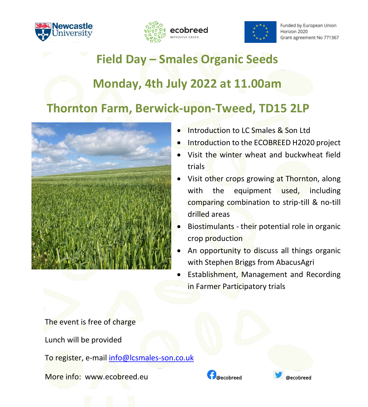





Funded by European Union Horizon 2020 Grant agreement No 771367

## **Field Day – Smales Organic Seeds**

## **Monday, 4th July 2022 at 11.00am**

## **Thornton Farm, Berwick-upon-Tweed, TD15 2LP**



- Introduction to LC Smales & Son Ltd
- Introduction to the ECOBREED H2020 project
- Visit the winter wheat and buckwheat field trials
- Visit other crops growing at Thornton, along with the equipment used, including comparing combination to strip-till & no-till drilled areas
- Biostimulants their potential role in organic crop production
- An opportunity to discuss all things organic with Stephen Briggs from AbacusAgri
- Establishment, Management and Recording in Farmer Participatory trials

The event is free of charge

Lunch will be provided

To register, e-mail [info@lcsmales-son.co.uk](mailto:info@lcsmales-son.co.uk?subject=)

More info: www[.ecobreed.eu](https://ecobreed.eu/) **With Construction Construction** accobreed **are expected** assessment of the experiment